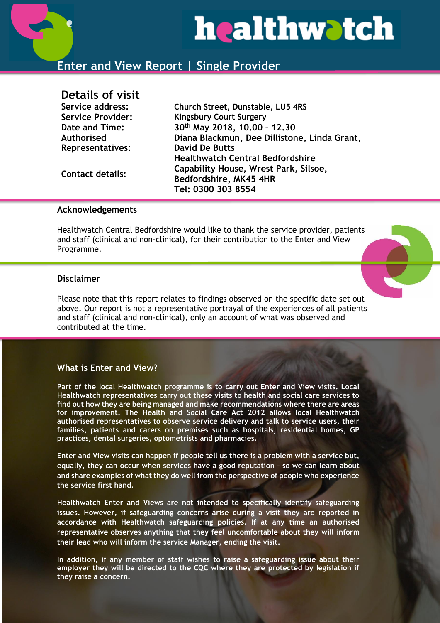

# **Enter and View Report | Single Provider**

# **Details of visit**

| Service address:         | Church Street, Dunstable, LU5 4RS            |
|--------------------------|----------------------------------------------|
| <b>Service Provider:</b> | <b>Kingsbury Court Surgery</b>               |
| Date and Time:           | 30th May 2018, 10.00 - 12.30                 |
| Authorised               | Diana Blackmun, Dee Dillistone, Linda Grant, |
| <b>Representatives:</b>  | <b>David De Butts</b>                        |
| <b>Contact details:</b>  | <b>Healthwatch Central Bedfordshire</b>      |
|                          | Capability House, Wrest Park, Silsoe,        |
|                          | Bedfordshire, MK45 4HR                       |
|                          | Tel: 0300 303 8554                           |
|                          |                                              |

#### **Acknowledgements**

Healthwatch Central Bedfordshire would like to thank the service provider, patients and staff (clinical and non-clinical), for their contribution to the Enter and View Programme.

#### **Disclaimer**

Please note that this report relates to findings observed on the specific date set out above. Our report is not a representative portrayal of the experiences of all patients and staff (clinical and non-clinical), only an account of what was observed and contributed at the time.

## **What is Enter and View?**

**Part of the local Healthwatch programme is to carry out Enter and View visits. Local Healthwatch representatives carry out these visits to health and social care services to find out how they are being managed and make recommendations where there are areas for improvement. The Health and Social Care Act 2012 allows local Healthwatch authorised representatives to observe service delivery and talk to service users, their families, patients and carers on premises such as hospitals, residential homes, GP practices, dental surgeries, optometrists and pharmacies.** 

**Enter and View visits can happen if people tell us there is a problem with a service but, equally, they can occur when services have a good reputation – so we can learn about and share examples of what they do well from the perspective of people who experience the service first hand.**

**Healthwatch Enter and Views are not intended to specifically identify safeguarding issues. However, if safeguarding concerns arise during a visit they are reported in accordance with Healthwatch safeguarding policies. If at any time an authorised representative observes anything that they feel uncomfortable about they will inform their lead who will inform the service Manager, ending the visit.** 

**In addition, if any member of staff wishes to raise a safeguarding issue about their employer they will be directed to the CQC where they are protected by legislation if they raise a concern.**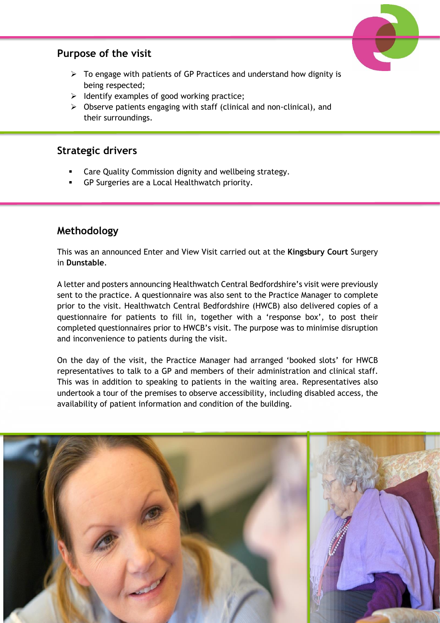# **Purpose of the visit**



- $\triangleright$  To engage with patients of GP Practices and understand how dignity is being respected;
- $\triangleright$  Identify examples of good working practice;
- ➢ Observe patients engaging with staff (clinical and non-clinical), and their surroundings.

# **Strategic drivers**

- Care Quality Commission dignity and wellbeing strategy.
- GP Surgeries are a Local Healthwatch priority.

# **Methodology**

This was an announced Enter and View Visit carried out at the **Kingsbury Court** Surgery in **Dunstable**.

A letter and posters announcing Healthwatch Central Bedfordshire's visit were previously sent to the practice. A questionnaire was also sent to the Practice Manager to complete prior to the visit. Healthwatch Central Bedfordshire (HWCB) also delivered copies of a questionnaire for patients to fill in, together with a 'response box', to post their completed questionnaires prior to HWCB's visit. The purpose was to minimise disruption and inconvenience to patients during the visit.

On the day of the visit, the Practice Manager had arranged 'booked slots' for HWCB representatives to talk to a GP and members of their administration and clinical staff. This was in addition to speaking to patients in the waiting area. Representatives also undertook a tour of the premises to observe accessibility, including disabled access, the availability of patient information and condition of the building.

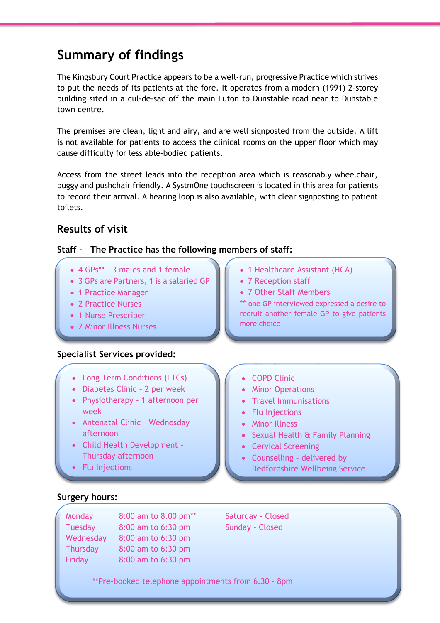# **Summary of findings**

The Kingsbury Court Practice appears to be a well-run, progressive Practice which strives to put the needs of its patients at the fore. It operates from a modern (1991) 2-storey building sited in a cul-de-sac off the main Luton to Dunstable road near to Dunstable town centre.

The premises are clean, light and airy, and are well signposted from the outside. A lift is not available for patients to access the clinical rooms on the upper floor which may cause difficulty for less able-bodied patients.

Access from the street leads into the reception area which is reasonably wheelchair, buggy and pushchair friendly. A SystmOne touchscreen is located in this area for patients to record their arrival. A hearing loop is also available, with clear signposting to patient toilets.

# **Results of visit**

## **Staff - The Practice has the following members of staff:**

- 4 GPs\*\* 3 males and 1 female
- 3 GPs are Partners, 1 is a salaried GP
- 1 Practice Manager
- 2 Practice Nurses
- 1 Nurse Prescriber
- 2 Minor Illness Nurses

#### **Specialist Services provided:**

- Long Term Conditions (LTCs)
- Diabetes Clinic 2 per week
- Physiotherapy 1 afternoon per week
- Antenatal Clinic Wednesday afternoon
- Child Health Development Thursday afternoon
- Flu Injections
- 1 Healthcare Assistant (HCA)
- 7 Reception staff
- 7 Other Staff Members
- \*\* one GP interviewed expressed a desire to recruit another female GP to give patients more choice
- COPD Clinic
- Minor Operations
- Travel Immunisations
- Flu Injections
- Minor Illness
- Sexual Health & Family Planning
- Cervical Screening
- Counselling delivered by Bedfordshire Wellbeing Service

# **Surgery hours:**

| Monday         | 8:00 am to 8.00 pm** |  |
|----------------|----------------------|--|
| <b>Tuesday</b> | 8:00 am to 6:30 pm   |  |
| Wednesday      | 8:00 am to 6:30 pm   |  |
| Thursday       | 8:00 am to 6:30 pm   |  |
| Friday         | 8:00 am to 6:30 pm   |  |

Saturday - Closed Sunday - Closed

\*\*Pre-booked telephone appointments from 6.30 – 8pm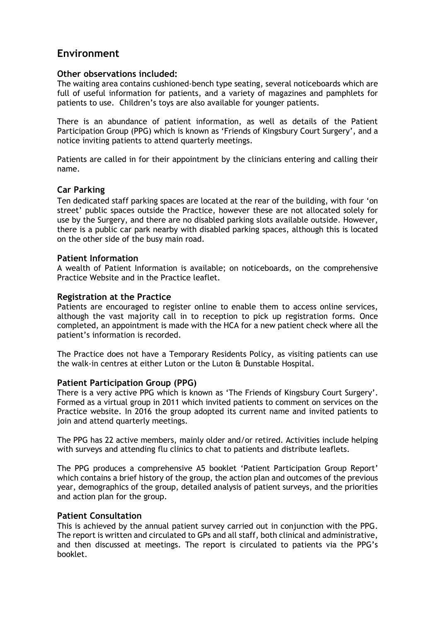# **Environment**

#### **Other observations included:**

The waiting area contains cushioned-bench type seating, several noticeboards which are full of useful information for patients, and a variety of magazines and pamphlets for patients to use. Children's toys are also available for younger patients.

There is an abundance of patient information, as well as details of the Patient Participation Group (PPG) which is known as 'Friends of Kingsbury Court Surgery', and a notice inviting patients to attend quarterly meetings.

Patients are called in for their appointment by the clinicians entering and calling their name.

## **Car Parking**

Ten dedicated staff parking spaces are located at the rear of the building, with four 'on street' public spaces outside the Practice, however these are not allocated solely for use by the Surgery, and there are no disabled parking slots available outside. However, there is a public car park nearby with disabled parking spaces, although this is located on the other side of the busy main road.

#### **Patient Information**

A wealth of Patient Information is available; on noticeboards, on the comprehensive Practice Website and in the Practice leaflet.

#### **Registration at the Practice**

Patients are encouraged to register online to enable them to access online services, although the vast majority call in to reception to pick up registration forms. Once completed, an appointment is made with the HCA for a new patient check where all the patient's information is recorded.

The Practice does not have a Temporary Residents Policy, as visiting patients can use the walk-in centres at either Luton or the Luton & Dunstable Hospital.

#### **Patient Participation Group (PPG)**

There is a very active PPG which is known as 'The Friends of Kingsbury Court Surgery'. Formed as a virtual group in 2011 which invited patients to comment on services on the Practice website. In 2016 the group adopted its current name and invited patients to join and attend quarterly meetings.

The PPG has 22 active members, mainly older and/or retired. Activities include helping with surveys and attending flu clinics to chat to patients and distribute leaflets.

The PPG produces a comprehensive A5 booklet 'Patient Participation Group Report' which contains a brief history of the group, the action plan and outcomes of the previous year, demographics of the group, detailed analysis of patient surveys, and the priorities and action plan for the group.

## **Patient Consultation**

This is achieved by the annual patient survey carried out in conjunction with the PPG. The report is written and circulated to GPs and all staff, both clinical and administrative, and then discussed at meetings. The report is circulated to patients via the PPG's booklet.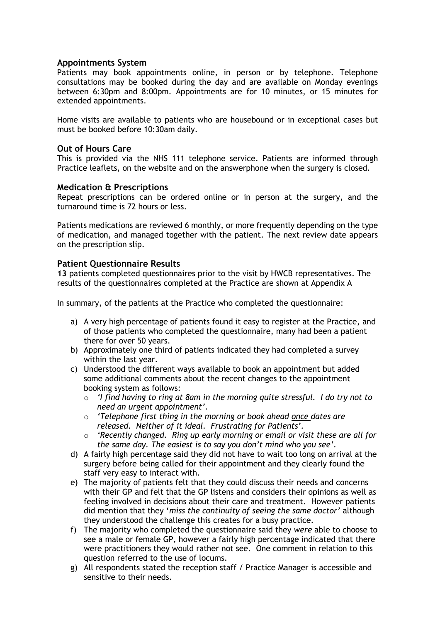#### **Appointments System**

Patients may book appointments online, in person or by telephone. Telephone consultations may be booked during the day and are available on Monday evenings between 6:30pm and 8:00pm. Appointments are for 10 minutes, or 15 minutes for extended appointments.

Home visits are available to patients who are housebound or in exceptional cases but must be booked before 10:30am daily.

#### **Out of Hours Care**

This is provided via the NHS 111 telephone service. Patients are informed through Practice leaflets, on the website and on the answerphone when the surgery is closed.

#### **Medication & Prescriptions**

Repeat prescriptions can be ordered online or in person at the surgery, and the turnaround time is 72 hours or less.

Patients medications are reviewed 6 monthly, or more frequently depending on the type of medication, and managed together with the patient. The next review date appears on the prescription slip.

#### **Patient Questionnaire Results**

**13** patients completed questionnaires prior to the visit by HWCB representatives. The results of the questionnaires completed at the Practice are shown at Appendix A

In summary, of the patients at the Practice who completed the questionnaire:

- a) A very high percentage of patients found it easy to register at the Practice, and of those patients who completed the questionnaire, many had been a patient there for over 50 years.
- b) Approximately one third of patients indicated they had completed a survey within the last year.
- c) Understood the different ways available to book an appointment but added some additional comments about the recent changes to the appointment booking system as follows:
	- o *'I find having to ring at 8am in the morning quite stressful. I do try not to need an urgent appointment'.*
	- o *'Telephone first thing in the morning or book ahead once dates are released. Neither of it ideal. Frustrating for Patients'.*
	- o *'Recently changed. Ring up early morning or email or visit these are all for the same day. The easiest is to say you don't mind who you see'.*
- d) A fairly high percentage said they did not have to wait too long on arrival at the surgery before being called for their appointment and they clearly found the staff very easy to interact with.
- e) The majority of patients felt that they could discuss their needs and concerns with their GP and felt that the GP listens and considers their opinions as well as feeling involved in decisions about their care and treatment. However patients did mention that they '*miss the continuity of seeing the same doctor'* although they understood the challenge this creates for a busy practice.
- f) The majority who completed the questionnaire said they *were* able to choose to see a male or female GP, however a fairly high percentage indicated that there were practitioners they would rather not see. One comment in relation to this question referred to the use of locums.
- g) All respondents stated the reception staff / Practice Manager is accessible and sensitive to their needs.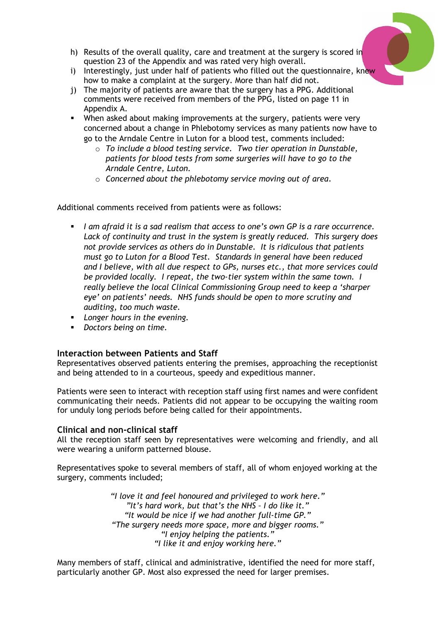

- h) Results of the overall quality, care and treatment at the surgery is scored in question 23 of the Appendix and was rated very high overall.
- i) Interestingly, just under half of patients who filled out the questionnaire, knew how to make a complaint at the surgery. More than half did not.
- j) The majority of patients are aware that the surgery has a PPG. Additional comments were received from members of the PPG, listed on page 11 in Appendix A.
- **EXECT** When asked about making improvements at the surgery, patients were very concerned about a change in Phlebotomy services as many patients now have to go to the Arndale Centre in Luton for a blood test, comments included:
	- o *To include a blood testing service. Two tier operation in Dunstable, patients for blood tests from some surgeries will have to go to the Arndale Centre, Luton.*
	- o *Concerned about the phlebotomy service moving out of area.*

Additional comments received from patients were as follows:

- *I am afraid it is a sad realism that access to one's own GP is a rare occurrence. Lack of continuity and trust in the system is greatly reduced. This surgery does not provide services as others do in Dunstable. It is ridiculous that patients must go to Luton for a Blood Test. Standards in general have been reduced and I believe, with all due respect to GPs, nurses etc., that more services could be provided locally. I repeat, the two-tier system within the same town. I really believe the local Clinical Commissioning Group need to keep a 'sharper eye' on patients' needs. NHS funds should be open to more scrutiny and auditing, too much waste.*
- *Longer hours in the evening.*
- *Doctors being on time.*

#### **Interaction between Patients and Staff**

Representatives observed patients entering the premises, approaching the receptionist and being attended to in a courteous, speedy and expeditious manner.

Patients were seen to interact with reception staff using first names and were confident communicating their needs. Patients did not appear to be occupying the waiting room for unduly long periods before being called for their appointments.

#### **Clinical and non-clinical staff**

All the reception staff seen by representatives were welcoming and friendly, and all were wearing a uniform patterned blouse.

Representatives spoke to several members of staff, all of whom enjoyed working at the surgery, comments included;

> *"I love it and feel honoured and privileged to work here." "It's hard work, but that's the NHS – I do like it." "It would be nice if we had another full-time GP." "The surgery needs more space, more and bigger rooms." "I enjoy helping the patients." "I like it and enjoy working here."*

Many members of staff, clinical and administrative, identified the need for more staff, particularly another GP. Most also expressed the need for larger premises.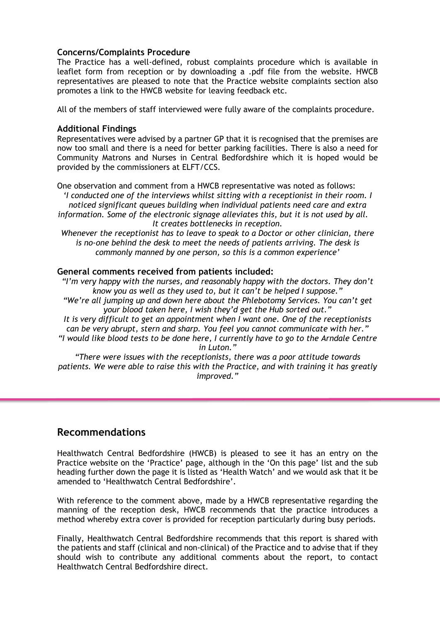#### **Concerns/Complaints Procedure**

The Practice has a well-defined, robust complaints procedure which is available in leaflet form from reception or by downloading a .pdf file from the website. HWCB representatives are pleased to note that the Practice website complaints section also promotes a link to the HWCB website for leaving feedback etc.

All of the members of staff interviewed were fully aware of the complaints procedure.

#### **Additional Findings**

Representatives were advised by a partner GP that it is recognised that the premises are now too small and there is a need for better parking facilities. There is also a need for Community Matrons and Nurses in Central Bedfordshire which it is hoped would be provided by the commissioners at ELFT/CCS.

One observation and comment from a HWCB representative was noted as follows: *'I conducted one of the interviews whilst sitting with a receptionist in their room. I noticed significant queues building when individual patients need care and extra information. Some of the electronic signage alleviates this, but it is not used by all. It creates bottlenecks in reception.*

*Whenever the receptionist has to leave to speak to a Doctor or other clinician, there is no-one behind the desk to meet the needs of patients arriving. The desk is commonly manned by one person, so this is a common experience'*

#### **General comments received from patients included:**

*"I'm very happy with the nurses, and reasonably happy with the doctors. They don't know you as well as they used to, but it can't be helped I suppose." "We're all jumping up and down here about the Phlebotomy Services. You can't get your blood taken here, I wish they'd get the Hub sorted out." It is very difficult to get an appointment when I want one. One of the receptionists can be very abrupt, stern and sharp. You feel you cannot communicate with her." "I would like blood tests to be done here, I currently have to go to the Arndale Centre in Luton."*

*"There were issues with the receptionists, there was a poor attitude towards patients. We were able to raise this with the Practice, and with training it has greatly improved."*

# **Recommendations**

Healthwatch Central Bedfordshire (HWCB) is pleased to see it has an entry on the Practice website on the 'Practice' page, although in the 'On this page' list and the sub heading further down the page it is listed as 'Health Watch' and we would ask that it be amended to 'Healthwatch Central Bedfordshire'.

With reference to the comment above, made by a HWCB representative regarding the manning of the reception desk, HWCB recommends that the practice introduces a method whereby extra cover is provided for reception particularly during busy periods.

Finally, Healthwatch Central Bedfordshire recommends that this report is shared with the patients and staff (clinical and non-clinical) of the Practice and to advise that if they should wish to contribute any additional comments about the report, to contact Healthwatch Central Bedfordshire direct.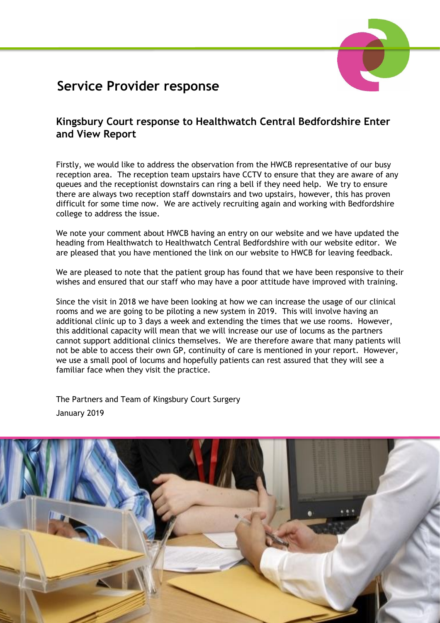# **Service Provider response**

# **Kingsbury Court response to Healthwatch Central Bedfordshire Enter and View Report**

Firstly, we would like to address the observation from the HWCB representative of our busy reception area. The reception team upstairs have CCTV to ensure that they are aware of any queues and the receptionist downstairs can ring a bell if they need help. We try to ensure there are always two reception staff downstairs and two upstairs, however, this has proven difficult for some time now. We are actively recruiting again and working with Bedfordshire college to address the issue.

We note your comment about HWCB having an entry on our website and we have updated the heading from Healthwatch to Healthwatch Central Bedfordshire with our website editor. We are pleased that you have mentioned the link on our website to HWCB for leaving feedback.

We are pleased to note that the patient group has found that we have been responsive to their wishes and ensured that our staff who may have a poor attitude have improved with training.

Since the visit in 2018 we have been looking at how we can increase the usage of our clinical rooms and we are going to be piloting a new system in 2019. This will involve having an additional clinic up to 3 days a week and extending the times that we use rooms. However, this additional capacity will mean that we will increase our use of locums as the partners cannot support additional clinics themselves. We are therefore aware that many patients will not be able to access their own GP, continuity of care is mentioned in your report. However, we use a small pool of locums and hopefully patients can rest assured that they will see a familiar face when they visit the practice.

The Partners and Team of Kingsbury Court Surgery January 2019

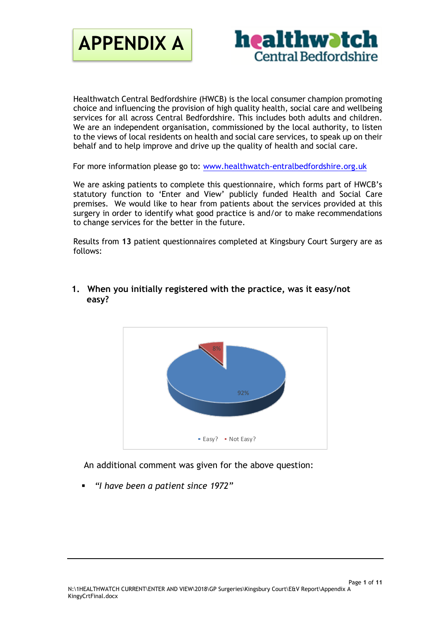



Healthwatch Central Bedfordshire (HWCB) is the local consumer champion promoting choice and influencing the provision of high quality health, social care and wellbeing services for all across Central Bedfordshire. This includes both adults and children. We are an independent organisation, commissioned by the local authority, to listen to the views of local residents on health and social care services, to speak up on their behalf and to help improve and drive up the quality of health and social care.

For more information please go to: [www.healthwatch-entralbedfordshire.org.uk](http://www.healthwatch-entralbedfordshire.org.uk/)

We are asking patients to complete this questionnaire, which forms part of HWCB's statutory function to 'Enter and View' publicly funded Health and Social Care premises. We would like to hear from patients about the services provided at this surgery in order to identify what good practice is and/or to make recommendations to change services for the better in the future.

Results from **13** patient questionnaires completed at Kingsbury Court Surgery are as follows:



**1. When you initially registered with the practice, was it easy/not easy?** 

An additional comment was given for the above question:

▪ *"I have been a patient since 1972"*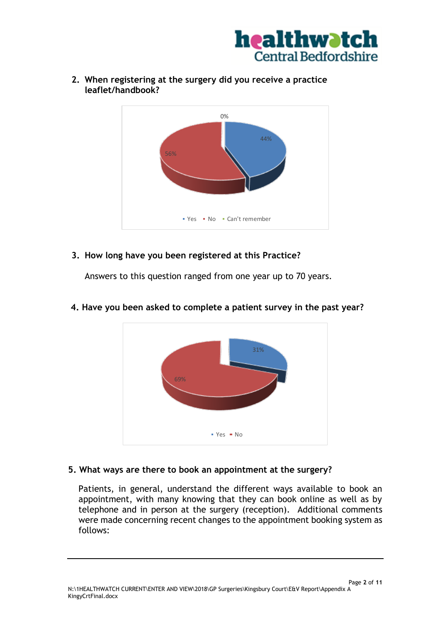



**2. When registering at the surgery did you receive a practice leaflet/handbook?**

# **3. How long have you been registered at this Practice?**

Answers to this question ranged from one year up to 70 years.



# **4. Have you been asked to complete a patient survey in the past year?**

## **5. What ways are there to book an appointment at the surgery?**

Patients, in general, understand the different ways available to book an appointment, with many knowing that they can book online as well as by telephone and in person at the surgery (reception). Additional comments were made concerning recent changes to the appointment booking system as follows: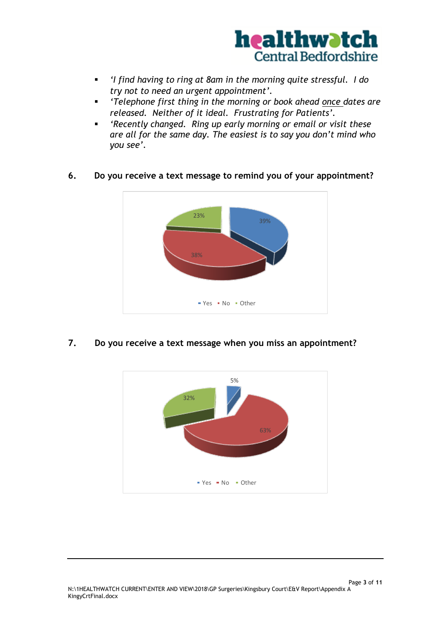

- *'I find having to ring at 8am in the morning quite stressful. I do try not to need an urgent appointment'.*
- *'Telephone first thing in the morning or book ahead once dates are released. Neither of it ideal. Frustrating for Patients'.*
- *'Recently changed. Ring up early morning or email or visit these are all for the same day. The easiest is to say you don't mind who you see'.*
- **6. Do you receive a text message to remind you of your appointment?**



**7. Do you receive a text message when you miss an appointment?**

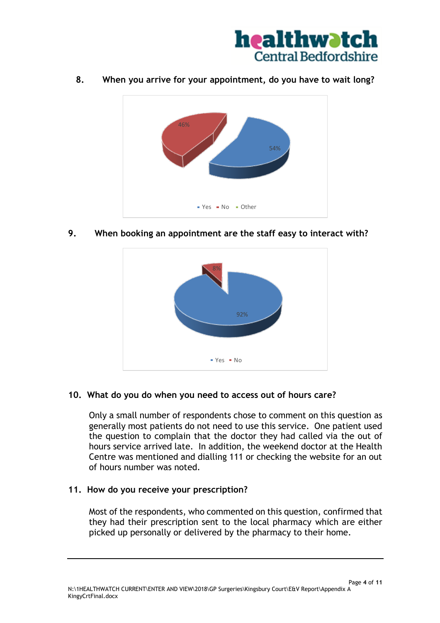

**8. When you arrive for your appointment, do you have to wait long?**



**9. When booking an appointment are the staff easy to interact with?** 



## **10. What do you do when you need to access out of hours care?**

Only a small number of respondents chose to comment on this question as generally most patients do not need to use this service. One patient used the question to complain that the doctor they had called via the out of hours service arrived late. In addition, the weekend doctor at the Health Centre was mentioned and dialling 111 or checking the website for an out of hours number was noted.

## **11. How do you receive your prescription?**

Most of the respondents, who commented on this question, confirmed that they had their prescription sent to the local pharmacy which are either picked up personally or delivered by the pharmacy to their home.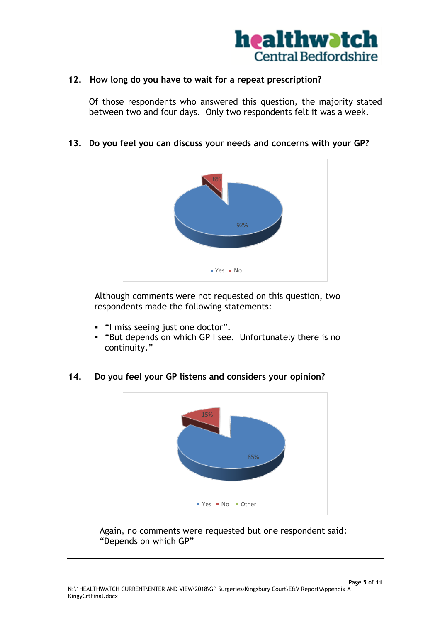

## **12. How long do you have to wait for a repeat prescription?**

Of those respondents who answered this question, the majority stated between two and four days. Only two respondents felt it was a week.

**13. Do you feel you can discuss your needs and concerns with your GP?** 



Although comments were not requested on this question, two respondents made the following statements:

- "I miss seeing just one doctor".
- "But depends on which GP I see. Unfortunately there is no continuity."

## **14. Do you feel your GP listens and considers your opinion?**



Again, no comments were requested but one respondent said: "Depends on which GP"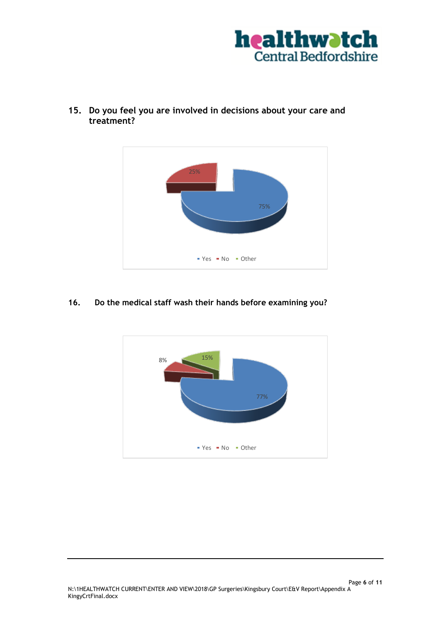



**15. Do you feel you are involved in decisions about your care and treatment?**

#### **16. Do the medical staff wash their hands before examining you?**

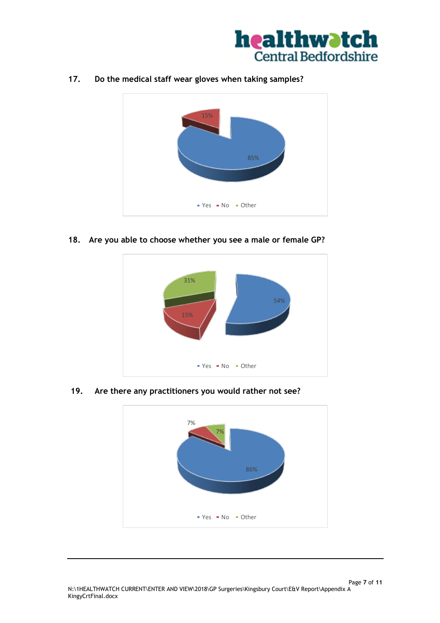

**17. Do the medical staff wear gloves when taking samples?**



**18. Are you able to choose whether you see a male or female GP?**



**19. Are there any practitioners you would rather not see?**

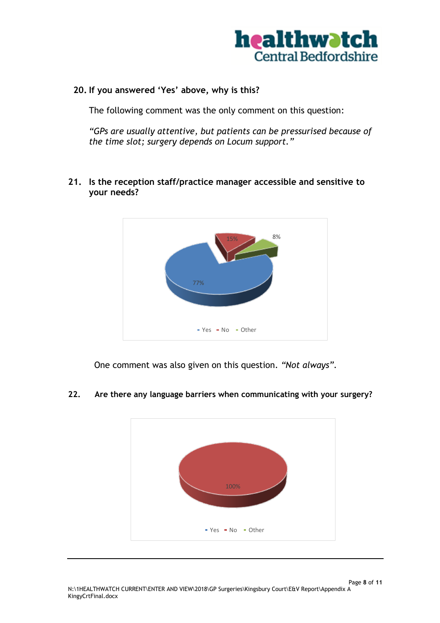

# **20. If you answered 'Yes' above, why is this?**

The following comment was the only comment on this question:

*"GPs are usually attentive, but patients can be pressurised because of the time slot; surgery depends on Locum support."*

**21. Is the reception staff/practice manager accessible and sensitive to your needs?**



One comment was also given on this question. *"Not always".*



# **22. Are there any language barriers when communicating with your surgery?**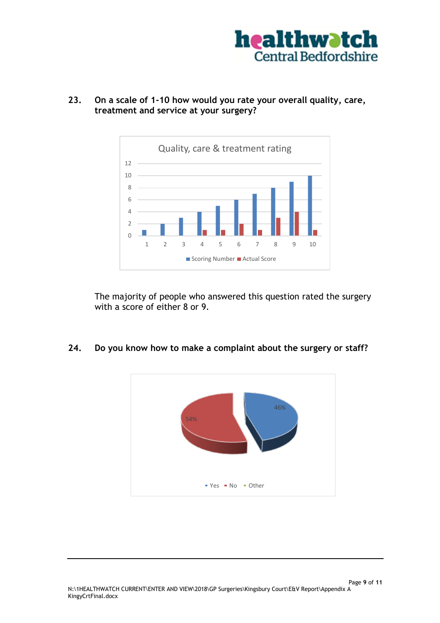



**23. On a scale of 1-10 how would you rate your overall quality, care, treatment and service at your surgery?**

The majority of people who answered this question rated the surgery with a score of either 8 or 9.

**24. Do you know how to make a complaint about the surgery or staff?**

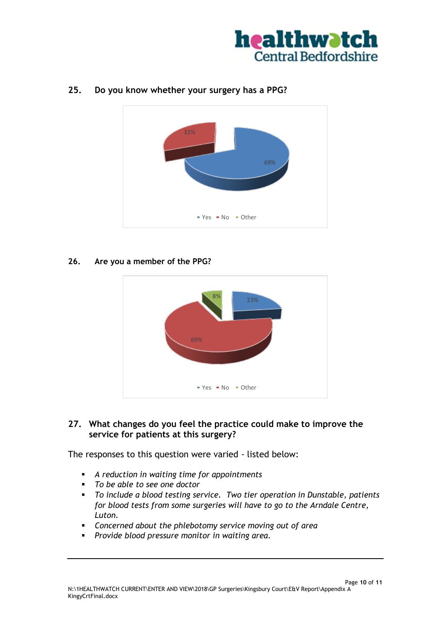



# **25. Do you know whether your surgery has a PPG?**

#### **26. Are you a member of the PPG?**



# **27. What changes do you feel the practice could make to improve the service for patients at this surgery?**

The responses to this question were varied - listed below:

- *A reduction in waiting time for appointments*
- *To be able to see one doctor*
- *To include a blood testing service. Two tier operation in Dunstable, patients for blood tests from some surgeries will have to go to the Arndale Centre, Luton.*
- *Concerned about the phlebotomy service moving out of area*
- *Provide blood pressure monitor in waiting area.*